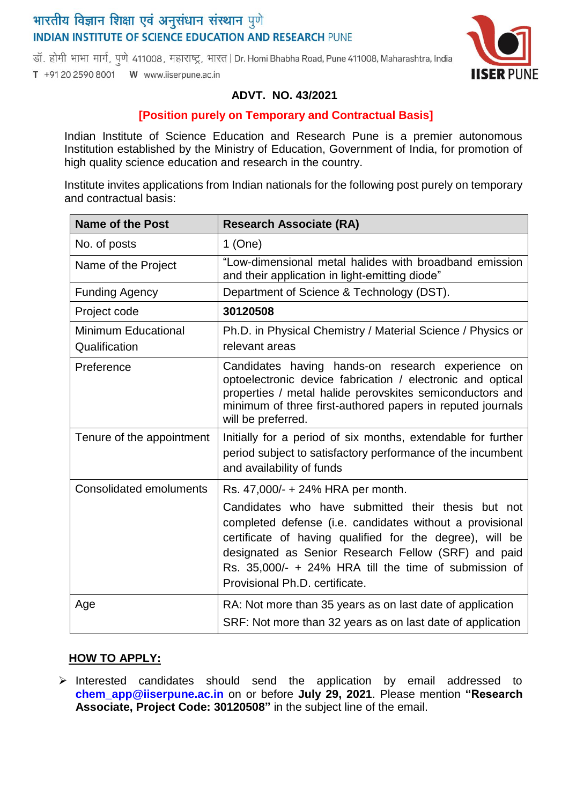# भारतीय विज्ञान शिक्षा एवं अनुसंधान संस्थान पुणे **INDIAN INSTITUTE OF SCIENCE EDUCATION AND RESEARCH PUNE**

डॉ. होमी भाभा मार्ग, पणे 411008, महाराष्ट्र, भारत | Dr. Homi Bhabha Road, Pune 411008, Maharashtra, India T +91 20 2590 8001 W www.iiserpune.ac.in



## **ADVT. NO. 43/2021**

#### **[Position purely on Temporary and Contractual Basis]**

Indian Institute of Science Education and Research Pune is a premier autonomous Institution established by the Ministry of Education, Government of India, for promotion of high quality science education and research in the country.

Institute invites applications from Indian nationals for the following post purely on temporary and contractual basis:

| <b>Name of the Post</b>                     | <b>Research Associate (RA)</b>                                                                                                                                                                                                                                                                                                                                    |
|---------------------------------------------|-------------------------------------------------------------------------------------------------------------------------------------------------------------------------------------------------------------------------------------------------------------------------------------------------------------------------------------------------------------------|
| No. of posts                                | $1$ (One)                                                                                                                                                                                                                                                                                                                                                         |
| Name of the Project                         | "Low-dimensional metal halides with broadband emission<br>and their application in light-emitting diode"                                                                                                                                                                                                                                                          |
| <b>Funding Agency</b>                       | Department of Science & Technology (DST).                                                                                                                                                                                                                                                                                                                         |
| Project code                                | 30120508                                                                                                                                                                                                                                                                                                                                                          |
| <b>Minimum Educational</b><br>Qualification | Ph.D. in Physical Chemistry / Material Science / Physics or<br>relevant areas                                                                                                                                                                                                                                                                                     |
| Preference                                  | Candidates having hands-on research experience on<br>optoelectronic device fabrication / electronic and optical<br>properties / metal halide perovskites semiconductors and<br>minimum of three first-authored papers in reputed journals<br>will be preferred.                                                                                                   |
| Tenure of the appointment                   | Initially for a period of six months, extendable for further<br>period subject to satisfactory performance of the incumbent<br>and availability of funds                                                                                                                                                                                                          |
| <b>Consolidated emoluments</b>              | Rs. 47,000/- + 24% HRA per month.<br>Candidates who have submitted their thesis but not<br>completed defense (i.e. candidates without a provisional<br>certificate of having qualified for the degree), will be<br>designated as Senior Research Fellow (SRF) and paid<br>Rs. 35,000/- + 24% HRA till the time of submission of<br>Provisional Ph.D. certificate. |
| Age                                         | RA: Not more than 35 years as on last date of application<br>SRF: Not more than 32 years as on last date of application                                                                                                                                                                                                                                           |

### **HOW TO APPLY:**

 $\triangleright$  Interested candidates should send the application by email addressed to **chem\_app@iiserpune.ac.in** on or before **July 29, 2021**. Please mention **"Research Associate, Project Code: 30120508"** in the subject line of the email.